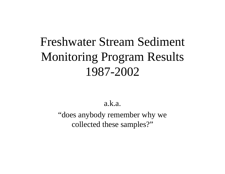# Freshwater Stream Sediment Monitoring Program Results 1987-2002

a.k.a.

"does anybody remember why we collected these samples?"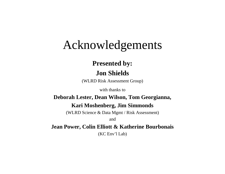#### Acknowledgements

#### **Presented by: Jon Shields**

(WLRD Risk Assessment Group)

with thanks to

**Deborah Lester, Dean Wilson, Tom Georgianna,**

#### **Kari Moshenberg, Jim Simmonds**

(WLRD Science & Data Mgmt / Risk Assessment)

and

**Jean Power, Colin Elliott & Katherine Bourbonais**

(KC Env'l Lab)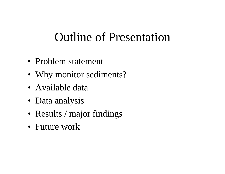# Outline of Presentation

- Problem statement
- Why monitor sediments?
- Available data
- Data analysis
- Results / major findings
- Future work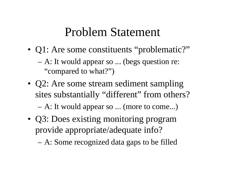#### Problem Statement

- Q1: Are some constituents "problematic?"
	- A: It would appear so ... (begs question re: "compared to what?")
- Q2: Are some stream sediment sampling sites substantially "different" from others?

A: It would appear so ... (more to come...)

• Q3: Does existing monitoring program provide appropriate/adequate info?

A: Some recognized data gaps to be filled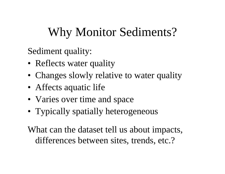# Why Monitor Sediments?

Sediment quality:

- Reflects water quality
- Changes slowly relative to water quality
- Affects aquatic life
- Varies over time and space
- Typically spatially heterogeneous

What can the dataset tell us about impacts, differences between sites, trends, etc.?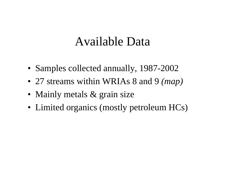#### Available Data

- Samples collected annually, 1987-2002
- 27 streams within WRIAs 8 and 9 *(map)*
- Mainly metals & grain size
- Limited organics (mostly petroleum HCs)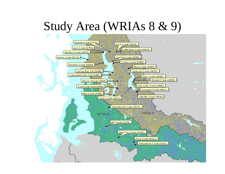# Study Area (WRIAs 8 & 9)

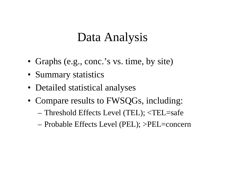## Data Analysis

- Graphs (e.g., conc.'s vs. time, by site)
- Summary statistics
- Detailed statistical analyses
- Compare results to FWSQGs, including:
	- Threshold Effects Level (TEL); <TEL=safe
	- Probable Effects Level (PEL); >PEL=concern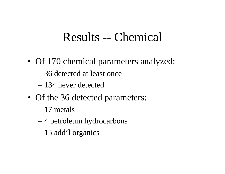#### Results -- Chemical

- Of 170 chemical parameters analyzed:
	- 36 detected at least once
	- 134 never detected
- Of the 36 detected parameters:
	- 17 metals
	- 4 petroleum hydrocarbons
	- 15 add'l organics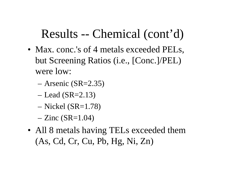## Results -- Chemical (cont'd)

- Max. conc.'s of 4 metals exceeded PELs, but Screening Ratios (i.e., [Conc.]/PEL) were low:
	- Arsenic (SR=2.35)
	- Lead (SR=2.13)
	- Nickel (SR=1.78)
	- Zinc (SR=1.04)
- All 8 metals having TELs exceeded them (As, Cd, Cr, Cu, Pb, Hg, Ni, Zn)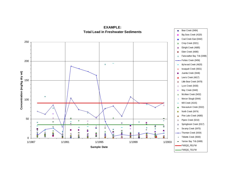

#### **EXAMPLE:**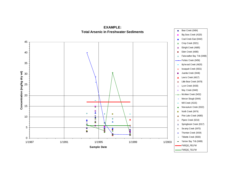

#### **EXAMPLE:**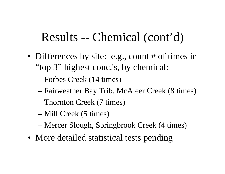#### Results -- Chemical (cont'd)

- Differences by site: e.g., count # of times in "top 3" highest conc.'s, by chemical:
	- Forbes Creek (14 times)
	- Fairweather Bay Trib, McAleer Creek (8 times)
	- Thornton Creek (7 times)
	- Mill Creek (5 times)
	- Mercer Slough, Springbrook Creek (4 times)
- More detailed statistical tests pending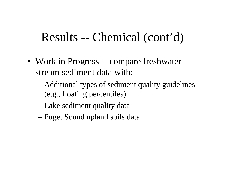#### Results -- Chemical (cont'd)

- Work in Progress -- compare freshwater stream sediment data with:
	- Additional types of sediment quality guidelines (e.g., floating percentiles)
	- Lake sediment quality data
	- Puget Sound upland soils data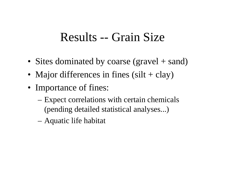#### Results -- Grain Size

- Sites dominated by coarse (gravel + sand)
- Major differences in fines (silt + clay)
- Importance of fines:
	- Expect correlations with certain chemicals (pending detailed statistical analyses...)
	- Aquatic life habitat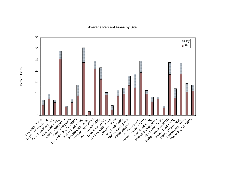#### **Average Percent Fines by Site**

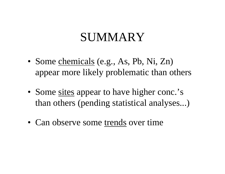## **SUMMARY**

- Some chemicals (e.g., As, Pb, Ni, Zn) appear more likely problematic than others
- Some <u>sites</u> appear to have higher conc.'s than others (pending statistical analyses...)
- Can observe some trends over time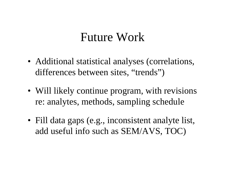#### Future Work

- Additional statistical analyses (correlations, differences between sites, "trends")
- Will likely continue program, with revisions re: analytes, methods, sampling schedule
- Fill data gaps (e.g., inconsistent analyte list, add useful info such as SEM/AVS, TOC)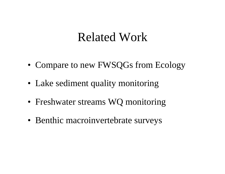### Related Work

- Compare to new FWSQGs from Ecology
- Lake sediment quality monitoring
- Freshwater streams WQ monitoring
- Benthic macroinvertebrate surveys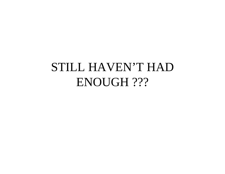# STILL HAVEN'T HAD ENOUGH ???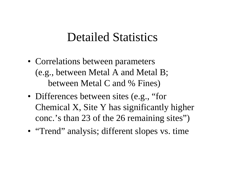#### Detailed Statistics

- Correlations between parameters (e.g., between Metal A and Metal B; between Metal C and % Fines)
- Differences between sites (e.g., "for Chemical X, Site Y has significantly higher conc.'s than 23 of the 26 remaining sites")
- "Trend" analysis; different slopes vs. time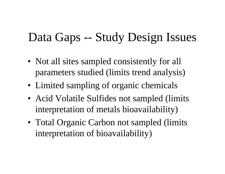## Data Gaps -- Study Design Issues

- Not all sites sampled consistently for all parameters studied (limits trend analysis)
- Limited sampling of organic chemicals
- Acid Volatile Sulfides not sampled (limits interpretation of metals bioavailability)
- Total Organic Carbon not sampled (limits interpretation of bioavailability)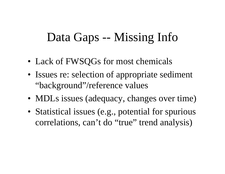### Data Gaps -- Missing Info

- Lack of FWSQGs for most chemicals
- Issues re: selection of appropriate sediment "background"/reference values
- MDLs issues (adequacy, changes over time)
- Statistical issues (e.g., potential for spurious correlations, can't do "true" trend analysis)